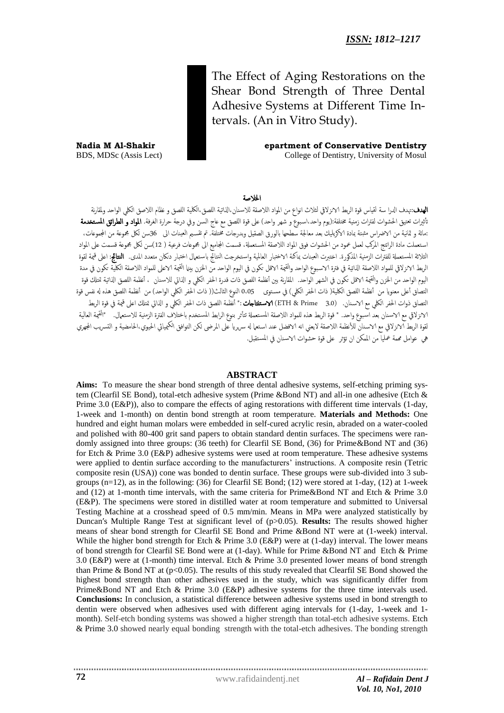The Effect of Aging Restorations on the Shear Bond Strength of Three Dental Adhesive Systems at Different Time Intervals. (An in Vitro Study).

**Nadia M Al-Shakir epartment of Conservative Dentistry** BDS, MDSc (Assis Lect) **DENTIST COLLEGE OF DENTISTIES** College of Dentistry, University of Mosul

#### اخلالصة

**الهدف**:تهدف الدرا سة لقياس قوة الربط الانزلاقي لثلاث انواع من المواد اللاصقة للاسنان،الذاتية اللصق،الكلية اللصق و نظام اللاصق الكلي الواحد ولمقارنة تأثيرات تعتيق الحشوات لفترات زمنية مختلفة:(يوم واحد،اسبوع و شهر واحد) على قوة اللصق مع عاج السن وفي درجة حرارة الغرفة. **المواد و الطرائق المستخدمة** :مائة و ثمانية من الاضراس مثبتة بمادة الاكريليك بعد معالجة سطحها بالورق الصقيل وبدرجات تختلفة. تم تقسيم العينات الى 36سن لكل مجموعة من المجموعات، استعملت مادة الراتنج المركب لعمل عمود من الحشوات فوق المواد اللاصقة المستعملة، قسمت المجاميع الى مجموعات فرعية ( 12)سن لكل مجموعة قسمت على المواد الثلاثة المستعملة للفترات الزمنية المذكورة. اختبرت العينات بماكنة الاختبار العالمية واستخرجت النتائج باستعمال اختبار دنكان متعدد المدى. **النتائج**: اعلى قيمة لقوة الربط الانزلاقي للمواد اللاصقة الذاتية في فترة الاسبوع الواحد والقيمة ا⁄دقل تكون في اليوم الواحد من الحزن بينما القيمة ا⁄دعلى للمواد اللاصقة الكلية تكون في مدة اليوم الواحد من الحزن والقيمة ا⁄اقل تكون في الشهر الواحد. المقارنة بين أنظمة اللصق ذات قدرة الحفر الكلي و الذاتي للاسنان ، أنظمة اللصق الذاتية تمتلك قوة التصاق أعلى معنويا من أنظمة اللصق الكلية( ذات الحفر الكلي) في مستوى 0،05 النوع الثالث(( ذات الحفر الكلي الواحد) من أنظمة اللصق هذه له نفس قوة لتصاق ذوات الحفر الكلي مع الاسـنان. (ETH & Prime 3.0) لاسـ**تلتاجات** :\* أنظمة اللصق ذات الحفر الكلّي و الذاتي تمتلك اعلى قيمة في قوة الربط كانزلاقي مع الاسمنان بعد اسبوع واحد. \* قوة الربط هذه للمواد اللاصقة المستعملة تتأثر بنوع الرابط المستخدم باختلاف الفترة الزمنية للاستعمال. \*القيمة العالية لقوة الربط الانزلاقي مع الاسنان للأنظمة اللاصقة لايعني انه الافضل عند استعما له سريريا على المرضى لكن التوافق الكيميائي الحيوي،الحامضية و التسريب المجهري هي عوامل محمة عملياً من الممكن ان تؤثر ً على قوة حشوات الاسنان في المستقبل.

#### **ABSTRACT**

**Aims:** To measure the shear bond strength of three dental adhesive systems, self-etching priming system (Clearfil SE Bond), total-etch adhesive system (Prime &Bond NT) and all-in one adhesive (Etch & Prime 3.0 (E&P)), also to compare the effects of aging restorations with different time intervals (1-day, 1-week and 1-month) on dentin bond strength at room temperature. **Materials and Methods:** One hundred and eight human molars were embedded in self-cured acrylic resin, abraded on a water-cooled and polished with 80-400 grit sand papers to obtain standard dentin surfaces. The specimens were randomly assigned into three groups: (36 teeth) for Clearfil SE Bond, (36) for Prime&Bond NT and (36) for Etch & Prime 3.0 (E&P) adhesive systems were used at room temperature. These adhesive systems were applied to dentin surface according to the manufacturers' instructions. A composite resin (Tetric composite resin (USA)) cone was bonded to dentin surface. These groups were sub-divided into 3 subgroups  $(n=12)$ , as in the following: (36) for Clearfil SE Bond; (12) were stored at 1-day, (12) at 1-week and (12) at 1-month time intervals, with the same criteria for Prime&Bond NT and Etch & Prime 3.0 (E&P). The specimens were stored in distilled water at room temperature and submitted to Universal Testing Machine at a crosshead speed of 0.5 mm/min. Means in MPa were analyzed statistically by Duncan′s Multiple Range Test at significant level of (p>0.05). **Results:** The results showed higher means of shear bond strength for Clearfil SE Bond and Prime &Bond NT were at (1-week) interval. While the higher bond strength for Etch & Prime 3.0 (E&P) were at (1-day) interval. The lower means of bond strength for Clearfil SE Bond were at (1-day). While for Prime &Bond NT and Etch & Prime 3.0 (E&P) were at (1-month) time interval. Etch & Prime 3.0 presented lower means of bond strength than Prime & Bond NT at ( $p<0.05$ ). The results of this study revealed that Clearfil SE Bond showed the highest bond strength than other adhesives used in the study, which was significantly differ from Prime&Bond NT and Etch & Prime 3.0 (E&P) adhesive systems for the three time intervals used. **Conclusions:** In conclusion, a statistical difference between adhesive systems used in bond strength to dentin were observed when adhesives used with different aging intervals for (1-day, 1-week and 1 month). Self-etch bonding systems was showed a higher strength than total-etch adhesive systems. Etch & Prime 3.0 showed nearly equal bonding strength with the total-etch adhesives. The bonding strength

www.rafidaindentj.net *Al – Rafidain Dent J Vol. 10, No1, 2010*

**72**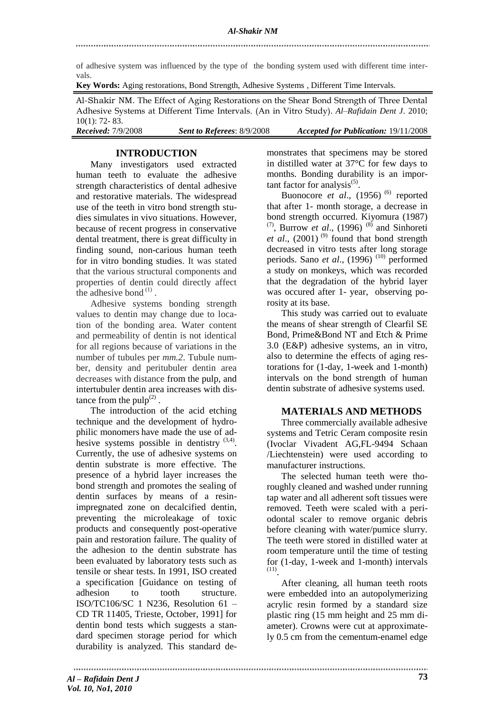of adhesive system was influenced by the type of the bonding system used with different time intervals.

**Key Words:** Aging restorations, Bond Strength, Adhesive Systems , Different Time Intervals.

Al-Shakir NM. The Effect of Aging Restorations on the Shear Bond Strength of Three Dental Adhesive Systems at Different Time Intervals. (An in Vitro Study). *Al–Rafidain Dent J*. 2010; 10(1): 72- 83.

*Received:* 7/9/2008 *Sent to Referees*: 8/9/2008 *Accepted for Publication:* 19/11/2008

# **INTRODUCTION**

Many investigators used extracted human teeth to evaluate the adhesive strength characteristics of dental adhesive and restorative materials. The widespread use of the teeth in vitro bond strength studies simulates in vivo situations. However, because of recent progress in conservative dental treatment, there is great difficulty in finding sound, non-carious human teeth for in vitro bonding studies. It was stated that the various structural components and properties of dentin could directly affect the adhesive bond  $^{(1)}$ .

Adhesive systems bonding strength values to dentin may change due to location of the bonding area. Water content and permeability of dentin is not identical for all regions because of variations in the number of tubules per *mm.2*. Tubule number, density and peritubuler dentin area decreases with distance from the pulp, and intertubuler dentin area increases with distance from the pulp<sup>(2)</sup>.

The introduction of the acid etching technique and the development of hydrophilic monomers have made the use of adhesive systems possible in dentistry  $(3,4)$ . Currently, the use of adhesive systems on dentin substrate is more effective. The presence of a hybrid layer increases the bond strength and promotes the sealing of dentin surfaces by means of a resinimpregnated zone on decalcified dentin, preventing the microleakage of toxic products and consequently post-operative pain and restoration failure. The quality of the adhesion to the dentin substrate has been evaluated by laboratory tests such as tensile or shear tests. In 1991, ISO created a specification [Guidance on testing of adhesion to tooth structure. ISO/TC106/SC 1 N236, Resolution 61 – CD TR 11405, Trieste, October, 1991] for dentin bond tests which suggests a standard specimen storage period for which durability is analyzed. This standard de-

monstrates that specimens may be stored in distilled water at 37°C for few days to months. Bonding durability is an impor $tant factor for analysis<sup>(5)</sup>.$ 

Buonocore *et al.*, (1956)<sup>(6)</sup> reported that after 1- month storage, a decrease in bond strength occurred. Kiyomura (1987)  $^{(7)}$ , Burrow *et al.*, (1996)<sup>(8)</sup> and Sinhoreti *et al.*,  $(2001)^{(9)}$  found that bond strength decreased in vitro tests after long storage periods. Sano *et al.*, (1996)<sup>(10)</sup> performed a study on monkeys, which was recorded that the degradation of the hybrid layer was occured after 1- year, observing porosity at its base.

This study was carried out to evaluate the means of shear strength of Clearfil SE Bond, Prime&Bond NT and Etch & Prime 3.0 (E&P) adhesive systems, an in vitro, also to determine the effects of aging restorations for (1-day, 1-week and 1-month) intervals on the bond strength of human dentin substrate of adhesive systems used.

# **MATERIALS AND METHODS**

Three commercially available adhesive systems and Tetric Ceram composite resin (Ivoclar Vivadent AG,FL-9494 Schaan /Liechtenstein) were used according to manufacturer instructions.

The selected human teeth were thoroughly cleaned and washed under running tap water and all adherent soft tissues were removed. Teeth were scaled with a periodontal scaler to remove organic debris before cleaning with water/pumice slurry. The teeth were stored in distilled water at room temperature until the time of testing for (1-day, 1-week and 1-month) intervals (11) .

After cleaning, all human teeth roots were embedded into an autopolymerizing acrylic resin formed by a standard size plastic ring (15 mm height and 25 mm diameter). Crowns were cut at approximately 0.5 cm from the cementum-enamel edge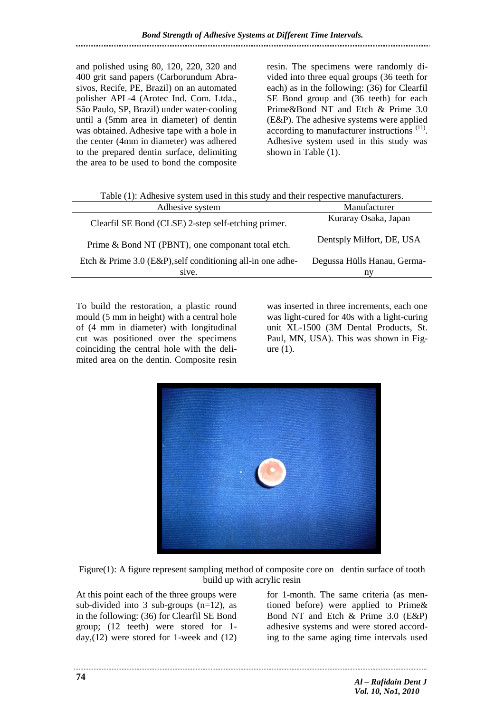and polished using 80, 120, 220, 320 and 400 grit sand papers (Carborundum Abrasivos, Recife, PE, Brazil) on an automated polisher APL-4 (Arotec Ind. Com. Ltda., São Paulo, SP, Brazil) under water-cooling until a (5mm area in diameter) of dentin was obtained. Adhesive tape with a hole in the center (4mm in diameter) was adhered to the prepared dentin surface, delimiting the area to be used to bond the composite

resin. The specimens were randomly divided into three equal groups (36 teeth for each) as in the following: (36) for Clearfil SE Bond group and (36 teeth) for each Prime&Bond NT and Etch & Prime 3.0 (E&P). The adhesive systems were applied according to manufacturer instructions <sup>(11)</sup>. Adhesive system used in this study was shown in Table (1).

| Table (1): Adhesive system used in this study and their respective manufacturers. |                             |  |  |  |  |  |
|-----------------------------------------------------------------------------------|-----------------------------|--|--|--|--|--|
| Adhesive system                                                                   | Manufacturer                |  |  |  |  |  |
| Clearfil SE Bond (CLSE) 2-step self-etching primer.                               | Kuraray Osaka, Japan        |  |  |  |  |  |
| Prime & Bond NT (PBNT), one componant total etch.                                 | Dentsply Milfort, DE, USA   |  |  |  |  |  |
| Etch & Prime $3.0$ (E&P), self conditioning all-in one adhe-                      | Degussa Hülls Hanau, Germa- |  |  |  |  |  |
| sive.                                                                             |                             |  |  |  |  |  |

To build the restoration, a plastic round mould (5 mm in height) with a central hole of (4 mm in diameter) with longitudinal cut was positioned over the specimens coinciding the central hole with the delimited area on the dentin. Composite resin

was inserted in three increments, each one was light-cured for 40s with a light-curing unit XL-1500 (3M Dental Products, St. Paul, MN, USA). This was shown in Figure (1).



Figure(1): A figure represent sampling method of composite core on dentin surface of tooth build up with acrylic resin

At this point each of the three groups were sub-divided into 3 sub-groups  $(n=12)$ , as in the following: (36) for Clearfil SE Bond group; (12 teeth) were stored for 1 day,(12) were stored for 1-week and (12) for 1-month. The same criteria (as mentioned before) were applied to Prime& Bond NT and Etch & Prime 3.0 (E&P) adhesive systems and were stored according to the same aging time intervals used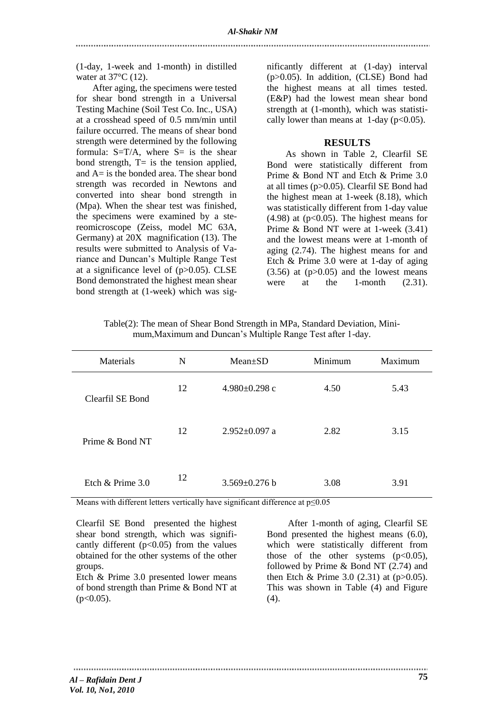(1-day, 1-week and 1-month) in distilled water at 37°C (12).

 After aging, the specimens were tested for shear bond strength in a Universal Testing Machine (Soil Test Co. Inc., USA) at a crosshead speed of 0.5 mm/min until failure occurred. The means of shear bond strength were determined by the following formula:  $S=T/A$ , where  $S=$  is the shear bond strength,  $T=$  is the tension applied, and  $A=$  is the bonded area. The shear bond strength was recorded in Newtons and converted into shear bond strength in (Mpa). When the shear test was finished, the specimens were examined by a stereomicroscope (Zeiss, model MC 63A, Germany) at 20X magnification (13). The results were submitted to Analysis of Variance and Duncan's Multiple Range Test at a significance level of (p>0.05). CLSE Bond demonstrated the highest mean shear bond strength at (1-week) which was significantly different at (1-day) interval (p>0.05). In addition, (CLSE) Bond had the highest means at all times tested. (E&P) had the lowest mean shear bond strength at (1-month), which was statistically lower than means at  $1$ -day ( $p<0.05$ ).

#### **RESULTS**

 As shown in Table 2, Clearfil SE Bond were statistically different from Prime & Bond NT and Etch & Prime 3.0 at all times (p>0.05). Clearfil SE Bond had the highest mean at 1-week (8.18), which was statistically different from 1-day value  $(4.98)$  at  $(p<0.05)$ . The highest means for Prime & Bond NT were at 1-week (3.41) and the lowest means were at 1-month of aging (2.74). The highest means for and Etch & Prime 3.0 were at 1-day of aging  $(3.56)$  at  $(p>0.05)$  and the lowest means were at the 1-month (2.31).

| Table(2): The mean of Shear Bond Strength in MPa, Standard Deviation, Mini- |  |
|-----------------------------------------------------------------------------|--|
| mum, Maximum and Duncan's Multiple Range Test after 1-day.                  |  |

| Materials          | N  | $Mean \pm SD$       | Minimum | Maximum |
|--------------------|----|---------------------|---------|---------|
| Clearfil SE Bond   | 12 | $4.980\pm0.298$ c   | 4.50    | 5.43    |
| Prime & Bond NT    | 12 | $2.952 \pm 0.097$ a | 2.82    | 3.15    |
| Etch $&$ Prime 3.0 | 12 | $3.569 \pm 0.276$ b | 3.08    | 3.91    |

Means with different letters vertically have significant difference at  $p \le 0.05$ 

Clearfil SE Bond presented the highest shear bond strength, which was significantly different  $(p<0.05)$  from the values obtained for the other systems of the other groups.

Etch & Prime 3.0 presented lower means of bond strength than Prime & Bond NT at  $(p<0.05)$ .

 After 1-month of aging, Clearfil SE Bond presented the highest means (6.0), which were statistically different from those of the other systems  $(p<0.05)$ , followed by Prime & Bond NT (2.74) and then Etch & Prime 3.0  $(2.31)$  at  $(p>0.05)$ . This was shown in Table (4) and Figure  $(4)$ .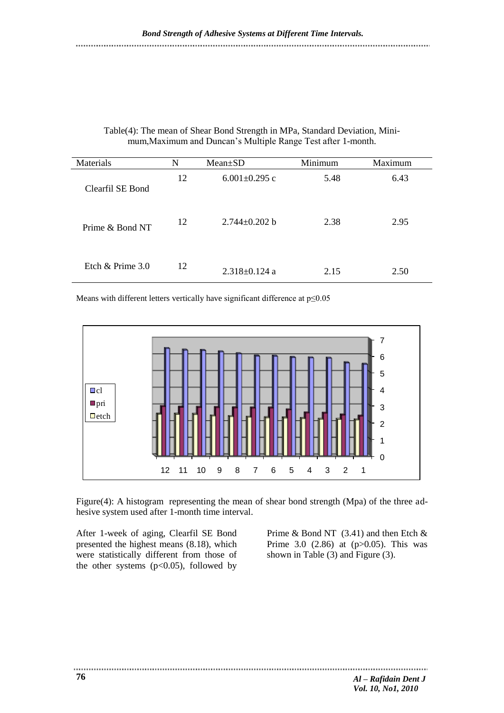| Table(4): The mean of Shear Bond Strength in MPa, Standard Deviation, Mini- |  |  |  |
|-----------------------------------------------------------------------------|--|--|--|
| mum, Maximum and Duncan's Multiple Range Test after 1-month.                |  |  |  |

| Materials          | N  | $Mean \pm SD$       | Minimum | Maximum |
|--------------------|----|---------------------|---------|---------|
| Clearfil SE Bond   | 12 | $6.001 \pm 0.295$ c | 5.48    | 6.43    |
| Prime & Bond NT    | 12 | $2.744\pm0.202$ b   | 2.38    | 2.95    |
| Etch $&$ Prime 3.0 | 12 | $2.318 \pm 0.124$ a | 2.15    | 2.50    |

Means with different letters vertically have significant difference at p≤0.05



Figure(4): A histogram representing the mean of shear bond strength (Mpa) of the three adhesive system used after 1-month time interval.

After 1-week of aging, Clearfil SE Bond presented the highest means (8.18), which were statistically different from those of the other systems  $(p<0.05)$ , followed by

Prime  $\&$  Bond NT (3.41) and then Etch  $\&$ Prime 3.0 (2.86) at  $(p>0.05)$ . This was shown in Table (3) and Figure (3).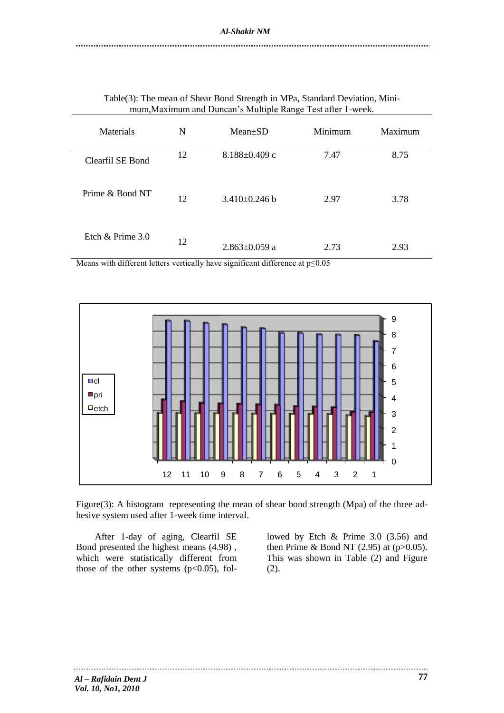| mum, maximum and Duncan S mumple Range Test and T-week. |    |                     |         |         |  |  |
|---------------------------------------------------------|----|---------------------|---------|---------|--|--|
| Materials                                               | N  | $Mean \pm SD$       | Minimum | Maximum |  |  |
| Clearfil SE Bond                                        | 12 | $8.188 \pm 0.409$ c | 7.47    | 8.75    |  |  |
| Prime & Bond NT                                         | 12 | $3.410\pm0.246$ b   | 2.97    | 3.78    |  |  |
| Etch $&$ Prime 3.0                                      | 12 | $2.863 \pm 0.059$ a | 2.73    | 2.93    |  |  |

|  | Table(3): The mean of Shear Bond Strength in MPa, Standard Deviation, Mini- |  |  |  |
|--|-----------------------------------------------------------------------------|--|--|--|
|  | mum, Maximum and Duncan's Multiple Range Test after 1-week.                 |  |  |  |

Means with different letters vertically have significant difference at p≤0.05



Figure(3): A histogram representing the mean of shear bond strength (Mpa) of the three adhesive system used after 1-week time interval.

 After 1-day of aging, Clearfil SE Bond presented the highest means (4.98) , which were statistically different from those of the other systems  $(p<0.05)$ , followed by Etch & Prime 3.0 (3.56) and then Prime & Bond NT  $(2.95)$  at  $(p>0.05)$ . This was shown in Table (2) and Figure (2).

......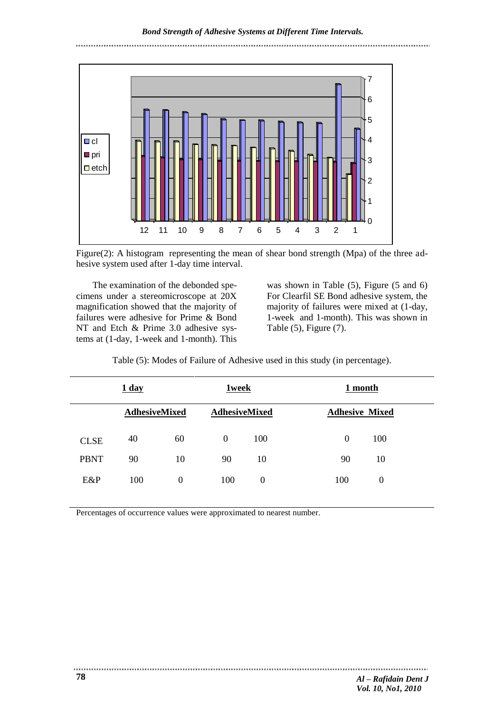

Figure(2): A histogram representing the mean of shear bond strength (Mpa) of the three adhesive system used after 1-day time interval.

 The examination of the debonded specimens under a stereomicroscope at 20X magnification showed that the majority of failures were adhesive for Prime & Bond NT and Etch & Prime 3.0 adhesive systems at (1-day, 1-week and 1-month). This

........................

was shown in Table (5), Figure (5 and 6) For Clearfil SE Bond adhesive system, the majority of failures were mixed at (1-day, 1-week and 1-month). This was shown in Table (5), Figure (7).

| 1 day       |                      | 1week    |                      | 1 month        |                       |                |  |
|-------------|----------------------|----------|----------------------|----------------|-----------------------|----------------|--|
|             | <b>AdhesiveMixed</b> |          | <b>AdhesiveMixed</b> |                | <b>Adhesive Mixed</b> |                |  |
| <b>CLSE</b> | 40                   | 60       | $\Omega$             | 100            | $\Omega$              | 100            |  |
| <b>PBNT</b> | 90                   | 10       | 90                   | 10             | 90                    | 10             |  |
| E&P         | 100                  | $\theta$ | 100                  | $\overline{0}$ | 100                   | $\overline{0}$ |  |

| Table (5): Modes of Failure of Adhesive used in this study (in percentage). |  |  |  |
|-----------------------------------------------------------------------------|--|--|--|
|                                                                             |  |  |  |
|                                                                             |  |  |  |

Percentages of occurrence values were approximated to nearest number.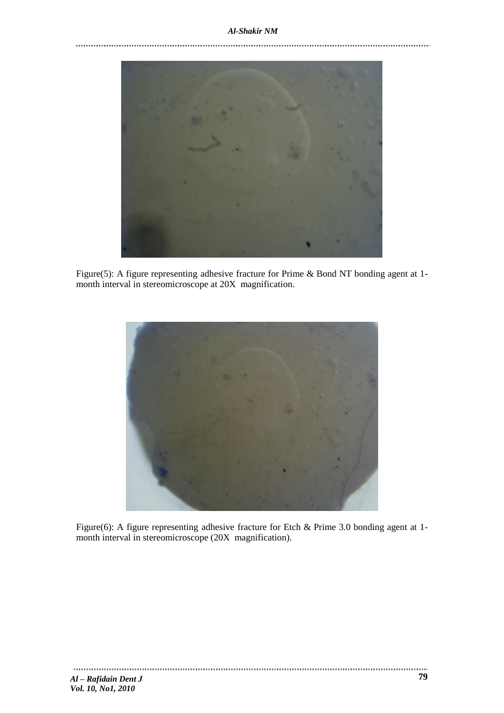

Figure(5): A figure representing adhesive fracture for Prime & Bond NT bonding agent at 1 month interval in stereomicroscope at 20X magnification.



Figure(6): A figure representing adhesive fracture for Etch & Prime 3.0 bonding agent at 1month interval in stereomicroscope (20X magnification).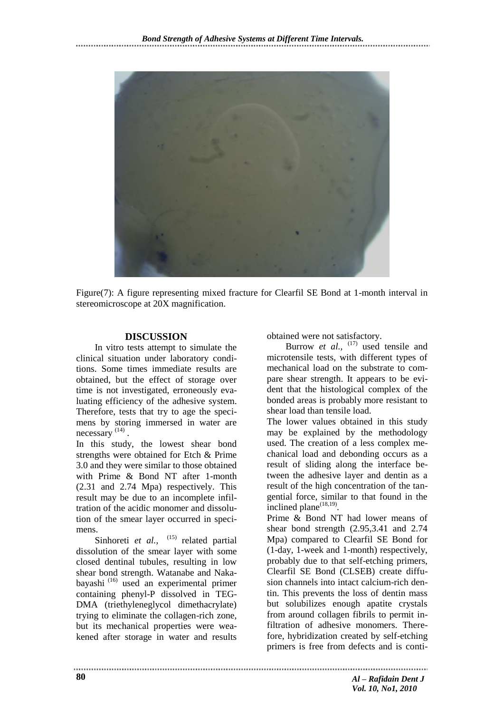

Figure(7): A figure representing mixed fracture for Clearfil SE Bond at 1-month interval in stereomicroscope at 20X magnification.

### **DISCUSSION**

In vitro tests attempt to simulate the clinical situation under laboratory conditions. Some times immediate results are obtained, but the effect of storage over time is not investigated, erroneously evaluating efficiency of the adhesive system. Therefore, tests that try to age the specimens by storing immersed in water are necessary<sup>(14)</sup>.

In this study, the lowest shear bond strengths were obtained for Etch & Prime 3.0 and they were similar to those obtained with Prime & Bond NT after 1-month (2.31 and 2.74 Mpa) respectively. This result may be due to an incomplete infiltration of the acidic monomer and dissolution of the smear layer occurred in specimens.

Sinhoreti *et al.*, <sup>(15)</sup> related partial dissolution of the smear layer with some closed dentinal tubules, resulting in low shear bond strength. Watanabe and Nakabayashi (16) used an experimental primer containing phenyl-P dissolved in TEG-DMA (triethyleneglycol dimethacrylate) trying to eliminate the collagen-rich zone, but its mechanical properties were weakened after storage in water and results

obtained were not satisfactory.

Burrow *et al.*, <sup>(17)</sup> used tensile and microtensile tests, with different types of mechanical load on the substrate to compare shear strength. It appears to be evident that the histological complex of the bonded areas is probably more resistant to shear load than tensile load.

The lower values obtained in this study may be explained by the methodology used. The creation of a less complex mechanical load and debonding occurs as a result of sliding along the interface between the adhesive layer and dentin as a result of the high concentration of the tangential force, similar to that found in the inclined plane<sup>(18,19)</sup>.

Prime & Bond NT had lower means of shear bond strength (2.95,3.41 and 2.74 Mpa) compared to Clearfil SE Bond for (1-day, 1-week and 1-month) respectively, probably due to that self-etching primers, Clearfil SE Bond (CLSEB) create diffusion channels into intact calcium-rich dentin. This prevents the loss of dentin mass but solubilizes enough apatite crystals from around collagen fibrils to permit infiltration of adhesive monomers. Therefore, hybridization created by self-etching primers is free from defects and is conti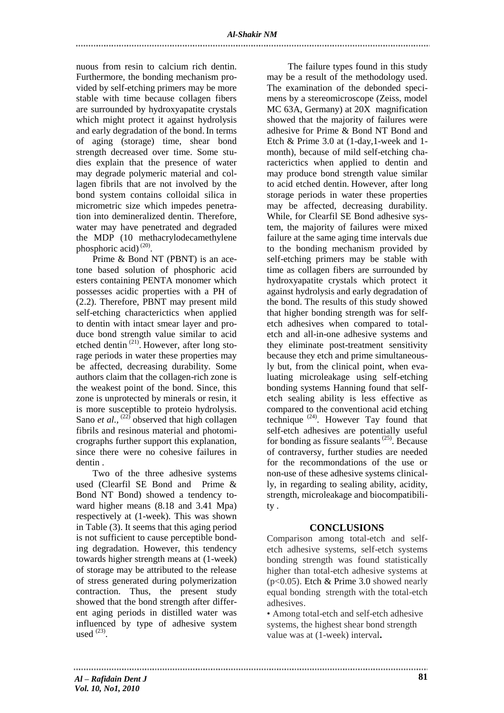nuous from resin to calcium rich dentin. Furthermore, the bonding mechanism provided by self-etching primers may be more stable with time because collagen fibers are surrounded by hydroxyapatite crystals which might protect it against hydrolysis and early degradation of the bond.In terms of aging (storage) time, shear bond strength decreased over time. Some studies explain that the presence of water may degrade polymeric material and collagen fibrils that are not involved by the bond system contains colloidal silica in micrometric size which impedes penetration into demineralized dentin. Therefore, water may have penetrated and degraded the MDP (10 methacrylodecamethylene phosphoric acid)<sup>(20)</sup>.

 Prime & Bond NT (PBNT) is an acetone based solution of phosphoric acid esters containing PENTA monomer which possesses acidic properties with a PH of (2.2). Therefore, PBNT may present mild self-etching characterictics when applied to dentin with intact smear layer and produce bond strength value similar to acid etched dentin<sup>(21)</sup>. However, after long storage periods in water these properties may be affected, decreasing durability. Some authors claim that the collagen-rich zone is the weakest point of the bond. Since, this zone is unprotected by minerals or resin, it is more susceptible to proteio hydrolysis. Sano *et al.*, <sup>(22)</sup> observed that high collagen fibrils and resinous material and photomicrographs further support this explanation, since there were no cohesive failures in dentin .

 Two of the three adhesive systems used (Clearfil SE Bond and Prime & Bond NT Bond) showed a tendency toward higher means (8.18 and 3.41 Mpa) respectively at (1-week). This was shown in Table (3). It seems that this aging period is not sufficient to cause perceptible bonding degradation. However, this tendency towards higher strength means at (1-week) of storage may be attributed to the release of stress generated during polymerization contraction. Thus, the present study showed that the bond strength after different aging periods in distilled water was influenced by type of adhesive system used  $^{(23)}$ .

 The failure types found in this study may be a result of the methodology used. The examination of the debonded specimens by a stereomicroscope (Zeiss, model MC 63A, Germany) at 20X magnification showed that the majority of failures were adhesive for Prime & Bond NT Bond and Etch & Prime 3.0 at (1-day,1-week and 1 month), because of mild self-etching characterictics when applied to dentin and may produce bond strength value similar to acid etched dentin. However, after long storage periods in water these properties may be affected, decreasing durability. While, for Clearfil SE Bond adhesive system, the majority of failures were mixed failure at the same aging time intervals due to the bonding mechanism provided by self-etching primers may be stable with time as collagen fibers are surrounded by hydroxyapatite crystals which protect it against hydrolysis and early degradation of the bond. The results of this study showed that higher bonding strength was for selfetch adhesives when compared to totaletch and all-in-one adhesive systems and they eliminate post-treatment sensitivity because they etch and prime simultaneously but, from the clinical point, when evaluating microleakage using self-etching bonding systems Hanning found that selfetch sealing ability is less effective as compared to the conventional acid etching technique  $(24)$ . However Tay found that self-etch adhesives are potentially useful for bonding as fissure sealants<sup> $(25)$ </sup>. Because of contraversy, further studies are needed for the recommondations of the use or non-use of these adhesive systems clinically, in regarding to sealing ability, acidity, strength, microleakage and biocompatibility .

# **CONCLUSIONS**

Comparison among total-etch and selfetch adhesive systems, self-etch systems bonding strength was found statistically higher than total-etch adhesive systems at (p<0.05). Etch & Prime 3.0 showed nearly equal bonding strength with the total-etch adhesives.

• Among total-etch and self-etch adhesive systems, the highest shear bond strength value was at (1-week) interval**.**

*Al – Rafidain Dent J Vol. 10, No1, 2010*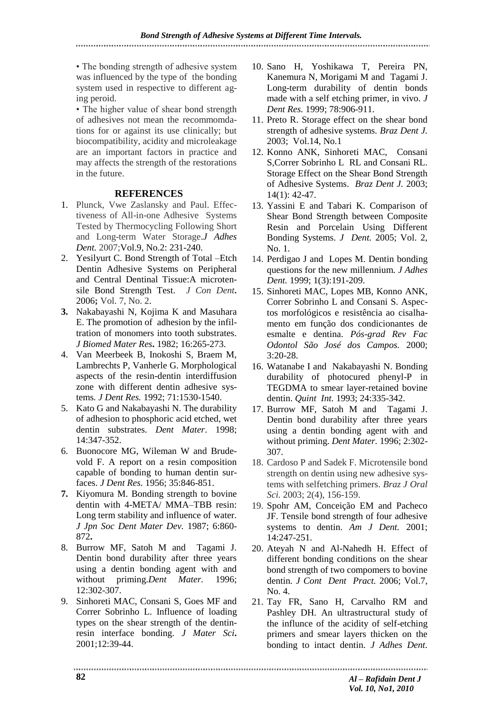• The bonding strength of adhesive system was influenced by the type of the bonding system used in respective to different aging peroid.

• The higher value of shear bond strength of adhesives not mean the recommomdations for or against its use clinically; but biocompatibility, acidity and microleakage are an important factors in practice and may affects the strength of the restorations in the future.

### **REFERENCES**

- 1. Plunck, Vwe Zaslansky and Paul. Effectiveness of All-in-one Adhesive Systems Tested by Thermocycling Following Short and Long-term Water Storage.*J Adhes Dent.* 2007;Vol.9, No.2: 231-240.
- 2. Yesilyurt C. Bond Strength of Total –Etch Dentin Adhesive Systems on Peripheral and Central Dentinal Tissue:A microtensile Bond Strength Test. *J Con Dent***.**  2006**;** Vol. 7, No. 2.
- **3.** Nakabayashi N, Kojima K and Masuhara E. The promotion of adhesion by the infiltration of monomers into tooth substrates. *J Biomed Mater Res***.** 1982; 16:265-273.
- 4. Van Meerbeek B, Inokoshi S, Braem M, Lambrechts P, Vanherle G. Morphological aspects of the resin-dentin interdiffusion zone with different dentin adhesive systems*. J Dent Res.* 1992; 71:1530-1540.
- 5. Kato G and Nakabayashi N. The durability of adhesion to phosphoric acid etched, wet dentin substrates. *Dent Mater*. 1998; 14:347-352.
- 6. Buonocore MG, Wileman W and Brudevold F. A report on a resin composition capable of bonding to human dentin surfaces. *J Dent Res.* 1956; 35:846-851.
- **7.** Kiyomura M. Bonding strength to bovine dentin with 4-META/ MMA–TBB resin: Long term stability and influence of water. *J Jpn Soc Dent Mater Dev.* 1987; 6:860- 872**.**
- 8. Burrow MF, Satoh M and Tagami J. Dentin bond durability after three years using a dentin bonding agent with and without priming.*Dent Mater.* 1996; 12:302-307.
- 9. Sinhoreti MAC, Consani S, Goes MF and Correr Sobrinho L. Influence of loading types on the shear strength of the dentinresin interface bonding. *J Mater Sci***.**  2001;12:39-44.
- 10. Sano H, Yoshikawa T, Pereira PN, Kanemura N, Morigami M and Tagami J. Long-term durability of dentin bonds made with a self etching primer, in vivo. *J Dent Res.* 1999; 78:906-911.
- 11. Preto R. Storage effect on the shear bond strength of adhesive systems. *Braz Dent J.* 2003; Vol.14, No.1
- 12. Konno ANK, Sinhoreti MAC, Consani S,Correr Sobrinho L RL and Consani RL. Storage Effect on the Shear Bond Strength of Adhesive Systems. *Braz Dent J.* 2003; 14(1): 42-47.
- 13. Yassini E and Tabari K. Comparison of Shear Bond Strength between Composite Resin and Porcelain Using Different Bonding Systems. *J Dent.* 2005; Vol. 2, No. 1.
- 14. Perdigao J and Lopes M. Dentin bonding questions for the new millennium. *J Adhes Dent.* 1999; 1(3):191-209.
- 15. Sinhoreti MAC, Lopes MB, Konno ANK, Correr Sobrinho L and Consani S. Aspectos morfológicos e resistência ao cisalhamento em função dos condicionantes de esmalte e dentina. *Pós-grad Rev Fac Odontol São José dos Campos.* 2000; 3:20-28.
- 16. Watanabe I and Nakabayashi N. Bonding durability of photocured phenyl-P in TEGDMA to smear layer-retained bovine dentin. *Quint Int.* 1993; 24:335-342.
- 17. Burrow MF, Satoh M and Tagami J. Dentin bond durability after three years using a dentin bonding agent with and without priming. *Dent Mater.* 1996; 2:302- 307.
- 18. Cardoso P and Sadek F. Microtensile bond strength on dentin using new adhesive systems with selfetching primers. *Braz J Oral Sci.* 2003; 2(4), 156-159.
- 19. Spohr AM, Conceição EM and Pacheco JF. Tensile bond strength of four adhesive systems to dentin. *Am J Dent.* 2001; 14:247-251.
- 20. Ateyah N and Al-Nahedh H. Effect of different bonding conditions on the shear bond strength of two compomers to bovine dentin*. J Cont Dent Pract.* 2006; Vol.7, No. 4.
- 21. Tay FR, Sano H, Carvalho RM and Pashley DH. An ultrastructural study of the influnce of the acidity of self-etching primers and smear layers thicken on the bonding to intact dentin. *J Adhes Dent.*